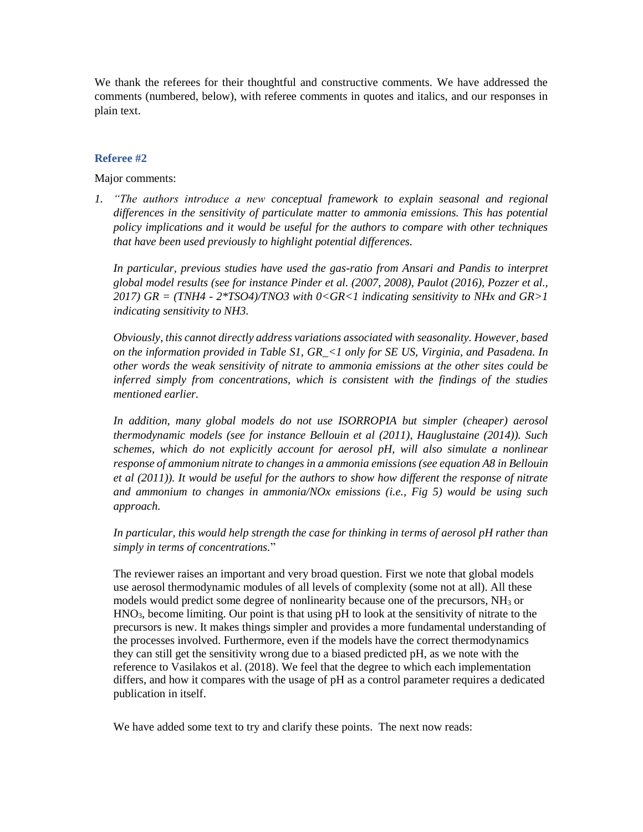We thank the referees for their thoughtful and constructive comments. We have addressed the comments (numbered, below), with referee comments in quotes and italics, and our responses in plain text.

## **Referee #2**

Major comments:

*1. "The authors introduce a new conceptual framework to explain seasonal and regional differences in the sensitivity of particulate matter to ammonia emissions. This has potential policy implications and it would be useful for the authors to compare with other techniques that have been used previously to highlight potential differences.*

*In particular, previous studies have used the gas-ratio from Ansari and Pandis to interpret global model results (see for instance Pinder et al. (2007, 2008), Paulot (2016), Pozzer et al., 2017) GR = (TNH4 - 2\*TSO4)/TNO3 with 0<GR<1 indicating sensitivity to NHx and GR>1 indicating sensitivity to NH3.* 

*Obviously, this cannot directly address variations associated with seasonality. However, based on the information provided in Table S1, GR\_<1 only for SE US, Virginia, and Pasadena. In other words the weak sensitivity of nitrate to ammonia emissions at the other sites could be inferred simply from concentrations, which is consistent with the findings of the studies mentioned earlier.*

*In addition, many global models do not use ISORROPIA but simpler (cheaper) aerosol thermodynamic models (see for instance Bellouin et al (2011), Hauglustaine (2014)). Such schemes, which do not explicitly account for aerosol pH, will also simulate a nonlinear response of ammonium nitrate to changes in a ammonia emissions (see equation A8 in Bellouin et al (2011)). It would be useful for the authors to show how different the response of nitrate and ammonium to changes in ammonia/NOx emissions (i.e., Fig 5) would be using such approach.*

*In particular, this would help strength the case for thinking in terms of aerosol pH rather than simply in terms of concentrations.*"

The reviewer raises an important and very broad question. First we note that global models use aerosol thermodynamic modules of all levels of complexity (some not at all). All these models would predict some degree of nonlinearity because one of the precursors, NH<sup>3</sup> or HNO3, become limiting. Our point is that using pH to look at the sensitivity of nitrate to the precursors is new. It makes things simpler and provides a more fundamental understanding of the processes involved. Furthermore, even if the models have the correct thermodynamics they can still get the sensitivity wrong due to a biased predicted pH, as we note with the reference to Vasilakos et al. (2018). We feel that the degree to which each implementation differs, and how it compares with the usage of pH as a control parameter requires a dedicated publication in itself.

We have added some text to try and clarify these points. The next now reads: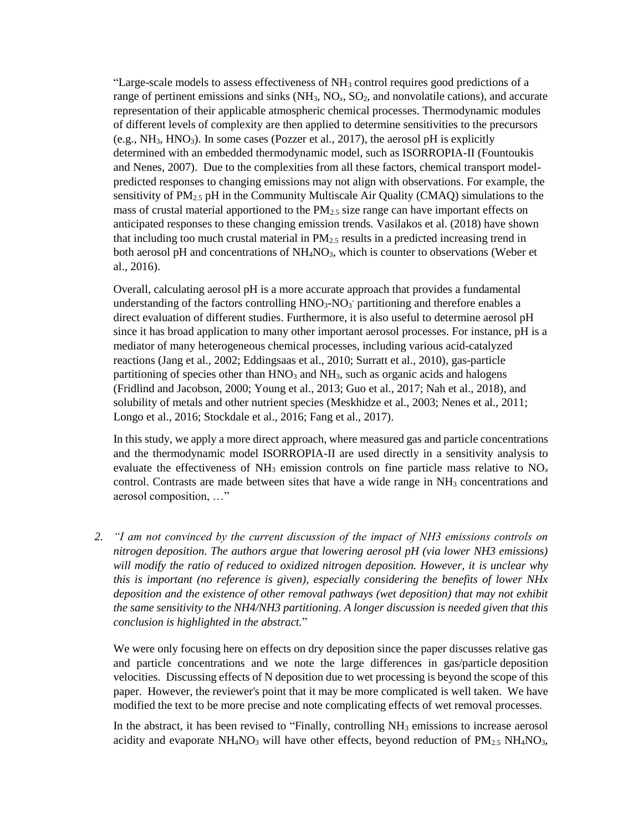"Large-scale models to assess effectiveness of  $NH<sub>3</sub>$  control requires good predictions of a range of pertinent emissions and sinks (NH<sub>3</sub>, NO<sub>x</sub>, SO<sub>2</sub>, and nonvolatile cations), and accurate representation of their applicable atmospheric chemical processes. Thermodynamic modules of different levels of complexity are then applied to determine sensitivities to the precursors (e.g.,  $NH_3$ ,  $HNO_3$ ). In some cases (Pozzer et al., 2017), the aerosol pH is explicitly determined with an embedded thermodynamic model, such as ISORROPIA-II (Fountoukis and Nenes, 2007). Due to the complexities from all these factors, chemical transport modelpredicted responses to changing emissions may not align with observations. For example, the sensitivity of  $PM_{2.5}$  pH in the Community Multiscale Air Quality (CMAQ) simulations to the mass of crustal material apportioned to the  $PM_{2.5}$  size range can have important effects on anticipated responses to these changing emission trends. Vasilakos et al. (2018) have shown that including too much crustal material in  $PM<sub>2.5</sub>$  results in a predicted increasing trend in both aerosol pH and concentrations of  $NH<sub>4</sub>NO<sub>3</sub>$ , which is counter to observations (Weber et al., 2016).

Overall, calculating aerosol pH is a more accurate approach that provides a fundamental understanding of the factors controlling  $HNO<sub>3</sub>-NO<sub>3</sub>$  partitioning and therefore enables a direct evaluation of different studies. Furthermore, it is also useful to determine aerosol pH since it has broad application to many other important aerosol processes. For instance, pH is a mediator of many heterogeneous chemical processes, including various acid-catalyzed reactions (Jang et al., 2002; Eddingsaas et al., 2010; Surratt et al., 2010), gas-particle partitioning of species other than  $HNO<sub>3</sub>$  and  $NH<sub>3</sub>$ , such as organic acids and halogens (Fridlind and Jacobson, 2000; Young et al., 2013; Guo et al., 2017; Nah et al., 2018), and solubility of metals and other nutrient species (Meskhidze et al., 2003; Nenes et al., 2011; Longo et al., 2016; Stockdale et al., 2016; Fang et al., 2017).

In this study, we apply a more direct approach, where measured gas and particle concentrations and the thermodynamic model ISORROPIA-II are used directly in a sensitivity analysis to evaluate the effectiveness of  $NH_3$  emission controls on fine particle mass relative to  $NO<sub>x</sub>$ control. Contrasts are made between sites that have a wide range in  $NH<sub>3</sub>$  concentrations and aerosol composition, …"

*2. "I am not convinced by the current discussion of the impact of NH3 emissions controls on nitrogen deposition. The authors argue that lowering aerosol pH (via lower NH3 emissions) will modify the ratio of reduced to oxidized nitrogen deposition. However, it is unclear why this is important (no reference is given), especially considering the benefits of lower NHx deposition and the existence of other removal pathways (wet deposition) that may not exhibit the same sensitivity to the NH4/NH3 partitioning. A longer discussion is needed given that this conclusion is highlighted in the abstract.*"

We were only focusing here on effects on dry deposition since the paper discusses relative gas and particle concentrations and we note the large differences in gas/particle deposition velocities. Discussing effects of N deposition due to wet processing is beyond the scope of this paper. However, the reviewer's point that it may be more complicated is well taken. We have modified the text to be more precise and note complicating effects of wet removal processes.

In the abstract, it has been revised to "Finally, controlling NH<sub>3</sub> emissions to increase aerosol acidity and evaporate  $NH_4NO_3$  will have other effects, beyond reduction of  $PM_{2.5} NH_4NO_3$ ,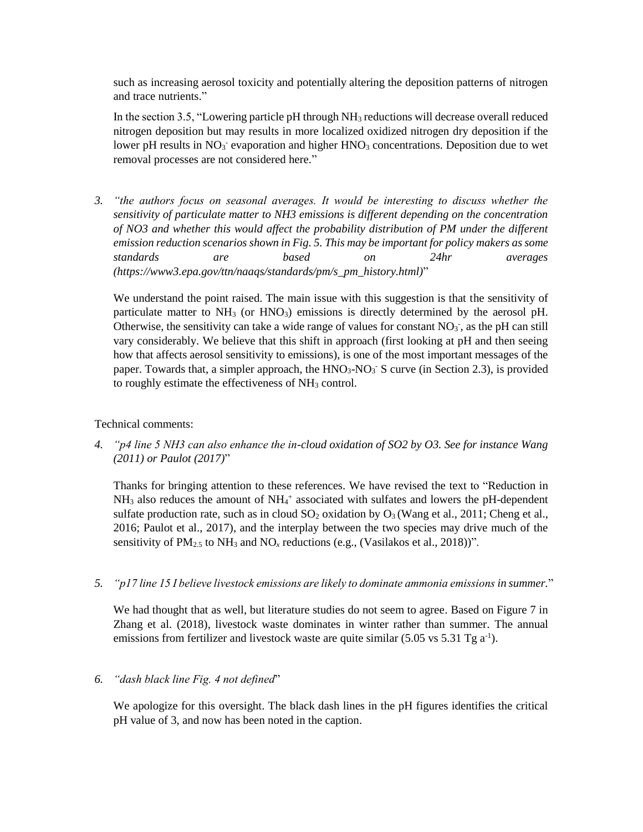such as increasing aerosol toxicity and potentially altering the deposition patterns of nitrogen and trace nutrients."

In the section 3.5, "Lowering particle pH through  $NH_3$  reductions will decrease overall reduced nitrogen deposition but may results in more localized oxidized nitrogen dry deposition if the lower pH results in  $NO<sub>3</sub>$  evaporation and higher  $HNO<sub>3</sub>$  concentrations. Deposition due to wet removal processes are not considered here."

*3. "the authors focus on seasonal averages. It would be interesting to discuss whether the sensitivity of particulate matter to NH3 emissions is different depending on the concentration of NO3 and whether this would affect the probability distribution of PM under the different emission reduction scenarios shown in Fig. 5. This may be important for policy makers as some standards are based on 24hr averages (https://www3.epa.gov/ttn/naaqs/standards/pm/s\_pm\_history.html)*"

We understand the point raised. The main issue with this suggestion is that the sensitivity of particulate matter to  $NH_3$  (or  $HNO_3$ ) emissions is directly determined by the aerosol pH. Otherwise, the sensitivity can take a wide range of values for constant  $NO_3$ <sup>-</sup>, as the pH can still vary considerably. We believe that this shift in approach (first looking at pH and then seeing how that affects aerosol sensitivity to emissions), is one of the most important messages of the paper. Towards that, a simpler approach, the  $HNO<sub>3</sub>-NO<sub>3</sub>$ <sup>-</sup> S curve (in Section 2.3), is provided to roughly estimate the effectiveness of  $NH<sub>3</sub>$  control.

Technical comments:

*4. "p4 line 5 NH3 can also enhance the in-cloud oxidation of SO2 by O3. See for instance Wang (2011) or Paulot (2017)*"

Thanks for bringing attention to these references. We have revised the text to "Reduction in NH<sub>3</sub> also reduces the amount of NH<sub>4</sub><sup>+</sup> associated with sulfates and lowers the pH-dependent sulfate production rate, such as in cloud  $SO_2$  oxidation by  $O_3$  (Wang et al., 2011; Cheng et al., 2016; Paulot et al., 2017), and the interplay between the two species may drive much of the sensitivity of  $PM_{2.5}$  to  $NH_3$  and  $NO_x$  reductions (e.g., (Vasilakos et al., 2018))".

*5. "p17 line 15 I believe livestock emissions are likely to dominate ammonia emissions in summer.*"

We had thought that as well, but literature studies do not seem to agree. Based on Figure 7 in Zhang et al. (2018), livestock waste dominates in winter rather than summer. The annual emissions from fertilizer and livestock waste are quite similar  $(5.05 \text{ vs } 5.31 \text{ Tg a}^{-1})$ .

## *6. "dash black line Fig. 4 not defined*"

We apologize for this oversight. The black dash lines in the pH figures identifies the critical pH value of 3, and now has been noted in the caption.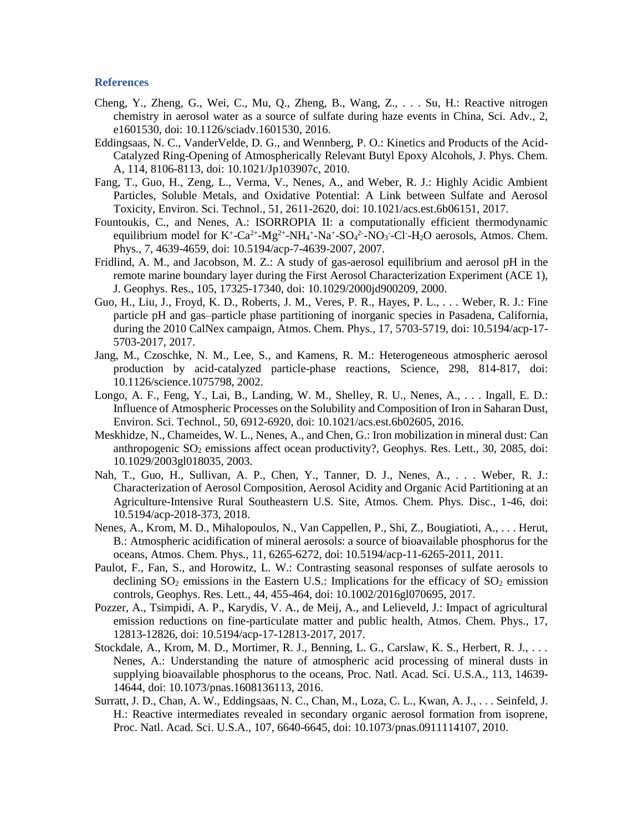## **References**

- Cheng, Y., Zheng, G., Wei, C., Mu, Q., Zheng, B., Wang, Z., . . . Su, H.: Reactive nitrogen chemistry in aerosol water as a source of sulfate during haze events in China, Sci. Adv., 2, e1601530, doi: 10.1126/sciadv.1601530, 2016.
- Eddingsaas, N. C., VanderVelde, D. G., and Wennberg, P. O.: Kinetics and Products of the Acid-Catalyzed Ring-Opening of Atmospherically Relevant Butyl Epoxy Alcohols, J. Phys. Chem. A, 114, 8106-8113, doi: 10.1021/Jp103907c, 2010.
- Fang, T., Guo, H., Zeng, L., Verma, V., Nenes, A., and Weber, R. J.: Highly Acidic Ambient Particles, Soluble Metals, and Oxidative Potential: A Link between Sulfate and Aerosol Toxicity, Environ. Sci. Technol., 51, 2611-2620, doi: 10.1021/acs.est.6b06151, 2017.
- Fountoukis, C., and Nenes, A.: ISORROPIA II: a computationally efficient thermodynamic equilibrium model for  $K^+$ -Ca<sup>2+</sup>-Mg<sup>2+</sup>-NH<sub>4</sub><sup>+</sup>-Na<sup>+</sup>-SO<sub>4</sub><sup>2</sup>-NO<sub>3</sub>-Cl<sup>-</sup>-H<sub>2</sub>O aerosols, Atmos. Chem. Phys., 7, 4639-4659, doi: 10.5194/acp-7-4639-2007, 2007.
- Fridlind, A. M., and Jacobson, M. Z.: A study of gas-aerosol equilibrium and aerosol pH in the remote marine boundary layer during the First Aerosol Characterization Experiment (ACE 1), J. Geophys. Res., 105, 17325-17340, doi: 10.1029/2000jd900209, 2000.
- Guo, H., Liu, J., Froyd, K. D., Roberts, J. M., Veres, P. R., Hayes, P. L., . . . Weber, R. J.: Fine particle pH and gas–particle phase partitioning of inorganic species in Pasadena, California, during the 2010 CalNex campaign, Atmos. Chem. Phys., 17, 5703-5719, doi: 10.5194/acp-17- 5703-2017, 2017.
- Jang, M., Czoschke, N. M., Lee, S., and Kamens, R. M.: Heterogeneous atmospheric aerosol production by acid-catalyzed particle-phase reactions, Science, 298, 814-817, doi: 10.1126/science.1075798, 2002.
- Longo, A. F., Feng, Y., Lai, B., Landing, W. M., Shelley, R. U., Nenes, A., . . . Ingall, E. D.: Influence of Atmospheric Processes on the Solubility and Composition of Iron in Saharan Dust, Environ. Sci. Technol., 50, 6912-6920, doi: 10.1021/acs.est.6b02605, 2016.
- Meskhidze, N., Chameides, W. L., Nenes, A., and Chen, G.: Iron mobilization in mineral dust: Can anthropogenic SO<sub>2</sub> emissions affect ocean productivity?, Geophys. Res. Lett., 30, 2085, doi: 10.1029/2003gl018035, 2003.
- Nah, T., Guo, H., Sullivan, A. P., Chen, Y., Tanner, D. J., Nenes, A., . . . Weber, R. J.: Characterization of Aerosol Composition, Aerosol Acidity and Organic Acid Partitioning at an Agriculture-Intensive Rural Southeastern U.S. Site, Atmos. Chem. Phys. Disc., 1-46, doi: 10.5194/acp-2018-373, 2018.
- Nenes, A., Krom, M. D., Mihalopoulos, N., Van Cappellen, P., Shi, Z., Bougiatioti, A., . . . Herut, B.: Atmospheric acidification of mineral aerosols: a source of bioavailable phosphorus for the oceans, Atmos. Chem. Phys., 11, 6265-6272, doi: 10.5194/acp-11-6265-2011, 2011.
- Paulot, F., Fan, S., and Horowitz, L. W.: Contrasting seasonal responses of sulfate aerosols to declining  $SO_2$  emissions in the Eastern U.S.: Implications for the efficacy of  $SO_2$  emission controls, Geophys. Res. Lett., 44, 455-464, doi: 10.1002/2016gl070695, 2017.
- Pozzer, A., Tsimpidi, A. P., Karydis, V. A., de Meij, A., and Lelieveld, J.: Impact of agricultural emission reductions on fine-particulate matter and public health, Atmos. Chem. Phys., 17, 12813-12826, doi: 10.5194/acp-17-12813-2017, 2017.
- Stockdale, A., Krom, M. D., Mortimer, R. J., Benning, L. G., Carslaw, K. S., Herbert, R. J., . . . Nenes, A.: Understanding the nature of atmospheric acid processing of mineral dusts in supplying bioavailable phosphorus to the oceans, Proc. Natl. Acad. Sci. U.S.A., 113, 14639- 14644, doi: 10.1073/pnas.1608136113, 2016.
- Surratt, J. D., Chan, A. W., Eddingsaas, N. C., Chan, M., Loza, C. L., Kwan, A. J., . . . Seinfeld, J. H.: Reactive intermediates revealed in secondary organic aerosol formation from isoprene, Proc. Natl. Acad. Sci. U.S.A., 107, 6640-6645, doi: 10.1073/pnas.0911114107, 2010.